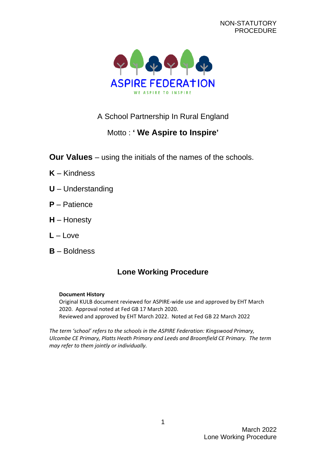

## A School Partnership In Rural England

# Motto : **' We Aspire to Inspire'**

- **Our Values** using the initials of the names of the schools.
- **K** Kindness
- **U** Understanding
- **P** Patience
- **H** Honesty
- **L** Love
- **B** Boldness

# **Lone Working Procedure**

#### **Document History**

Original KULB document reviewed for ASPIRE-wide use and approved by EHT March 2020. Approval noted at Fed GB 17 March 2020. Reviewed and approved by EHT March 2022. Noted at Fed GB 22 March 2022

*The term 'school' refers to the schools in the ASPIRE Federation: Kingswood Primary, Ulcombe CE Primary, Platts Heath Primary and Leeds and Broomfield CE Primary. The term may refer to them jointly or individually.*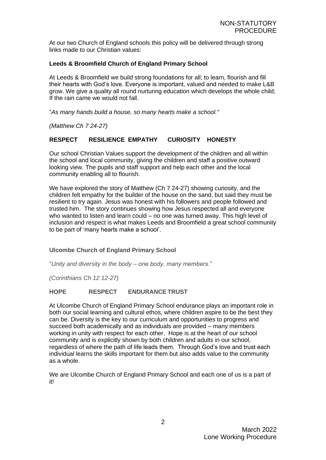At our two Church of England schools this policy will be delivered through strong links made to our Christian values:

#### **Leeds & Broomfield Church of England Primary School**

At Leeds & Broomfield we build strong foundations for all; to learn, flourish and fill their hearts with God's love. Everyone is important, valued and needed to make L&B grow. We give a quality all round nurturing education which develops the whole child; If the rain came we would not fall.

"*As many hands build a house, so many hearts make a school."*

*(Matthew Ch 7 24-27)*

## **RESPECT RESILIENCE EMPATHY CURIOSITY HONESTY**

Our school Christian Values support the development of the children and all within the school and local community, giving the children and staff a positive outward looking view. The pupils and staff support and help each other and the local community enabling all to flourish.

We have explored the story of Matthew (Ch 7 24-27) showing curiosity, and the children felt empathy for the builder of the house on the sand, but said they must be resilient to try again. Jesus was honest with his followers and people followed and trusted him. The story continues showing how Jesus respected all and everyone who wanted to listen and learn could – no one was turned away. This high level of inclusion and respect is what makes Leeds and Broomfield a great school community to be part of 'many hearts make a school'.

#### **Ulcombe Church of England Primary School**

"*Unity and diversity in the body – one body, many members."*

*(Corinthians Ch 12 12-27)*

#### **HOPE RESPECT ENDURANCETRUST**

At Ulcombe Church of England Primary School endurance plays an important role in both our social learning and cultural ethos, where children aspire to be the best they can be. Diversity is the key to our curriculum and opportunities to progress and succeed both academically and as individuals are provided – many members working in unity with respect for each other. Hope is at the heart of our school community and is explicitly shown by both children and adults in our school, regardless of where the path of life leads them. Through God's love and trust each individual learns the skills important for them but also adds value to the community as a whole.

We are Ulcombe Church of England Primary School and each one of us is a part of it!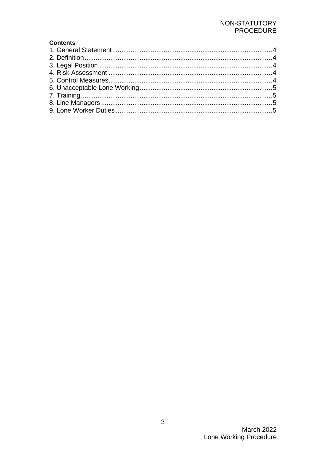## NON-STATUTORY PROCEDURE

## **Contents**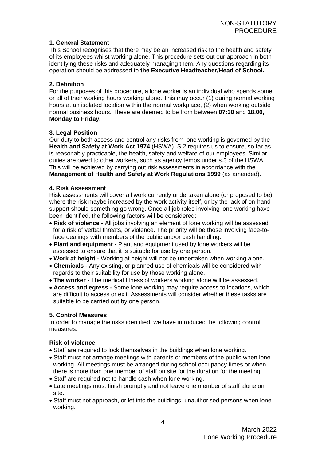## <span id="page-3-0"></span>**1. General Statement**

This School recognises that there may be an increased risk to the health and safety of its employees whilst working alone. This procedure sets out our approach in both identifying these risks and adequately managing them. Any questions regarding its operation should be addressed to **the Executive Headteacher/Head of School***.*

## <span id="page-3-1"></span>**2. Definition**

For the purposes of this procedure, a lone worker is an individual who spends some or all of their working hours working alone. This may occur (1) during normal working hours at an isolated location within the normal workplace, (2) when working outside normal business hours. These are deemed to be from between **07:30** and **18.00, Monday to Friday.**

## <span id="page-3-2"></span>**3. Legal Position**

Our duty to both assess and control any risks from lone working is governed by the **Health and Safety at Work Act 1974** (HSWA). S.2 requires us to ensure, so far as is reasonably practicable, the health, safety and welfare of our employees. Similar duties are owed to other workers, such as agency temps under s.3 of the HSWA. This will be achieved by carrying out risk assessments in accordance with the **Management of Health and Safety at Work Regulations 1999** (as amended).

#### <span id="page-3-3"></span>**4. Risk Assessment**

Risk assessments will cover all work currently undertaken alone (or proposed to be), where the risk maybe increased by the work activity itself, or by the lack of on-hand support should something go wrong. Once all job roles involving lone working have been identified, the following factors will be considered:

- **Risk of violence**  All jobs involving an element of lone working will be assessed for a risk of verbal threats, or violence. The priority will be those involving face-toface dealings with members of the public and/or cash handling.
- **Plant and equipment**  Plant and equipment used by lone workers will be assessed to ensure that it is suitable for use by one person.
- **Work at height -** Working at height will not be undertaken when working alone.
- **Chemicals -** Any existing, or planned use of chemicals will be considered with regards to their suitability for use by those working alone.
- **The worker -** The medical fitness of workers working alone will be assessed.
- **Access and egress -** Some lone working may require access to locations, which are difficult to access or exit. Assessments will consider whether these tasks are suitable to be carried out by one person.

#### <span id="page-3-4"></span>**5. Control Measures**

In order to manage the risks identified, we have introduced the following control measures:

## **Risk of violence**:

- Staff are required to lock themselves in the buildings when lone working.
- Staff must not arrange meetings with parents or members of the public when lone working. All meetings must be arranged during school occupancy times or when there is more than one member of staff on site for the duration for the meeting.
- Staff are required not to handle cash when lone working.
- Late meetings must finish promptly and not leave one member of staff alone on site.
- Staff must not approach, or let into the buildings, unauthorised persons when lone working.